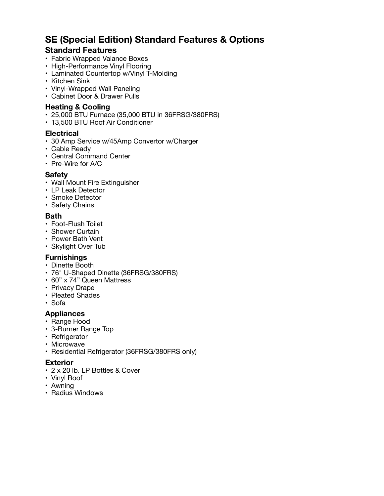# **SE (Special Edition) Standard Features & Options**

# **Standard Features**

- Fabric Wrapped Valance Boxes
- High-Performance Vinyl Flooring
- Laminated Countertop w/Vinyl T-Molding
- Kitchen Sink
- Vinyl-Wrapped Wall Paneling
- Cabinet Door & Drawer Pulls

## **Heating & Cooling**

- 25,000 BTU Furnace (35,000 BTU in 36FRSG/380FRS)
- 13,500 BTU Roof Air Conditioner

#### **Electrical**

- 30 Amp Service w/45Amp Convertor w/Charger
- Cable Ready
- Central Command Center
- Pre-Wire for A/C

#### **Safety**

- Wall Mount Fire Extinguisher
- LP Leak Detector
- Smoke Detector
- Safety Chains

#### **Bath**

- Foot-Flush Toilet
- Shower Curtain
- Power Bath Vent
- Skylight Over Tub

### **Furnishings**

- Dinette Booth
- 76" U-Shaped Dinette (36FRSG/380FRS)
- 60" x 74" Queen Mattress
- Privacy Drape
- Pleated Shades
- Sofa

### **Appliances**

- Range Hood
- 3-Burner Range Top
- Refrigerator
- Microwave
- Residential Refrigerator (36FRSG/380FRS only)

#### **Exterior**

- 2 x 20 lb. LP Bottles & Cover
- Vinyl Roof
- Awning
- Radius Windows